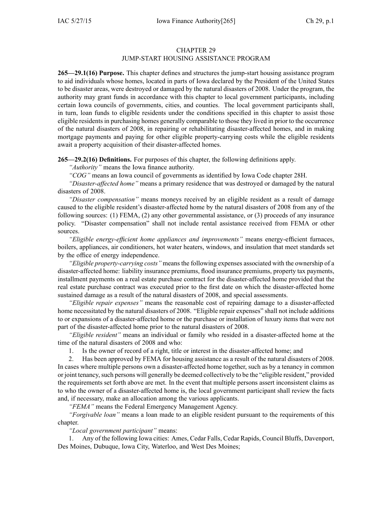# CHAPTER 29 JUMP-START HOUSING ASSISTANCE PROGRAM

**265—29.1(16) Purpose.** This chapter defines and structures the jump-start housing assistance program to aid individuals whose homes, located in parts of Iowa declared by the President of the United States to be disaster areas, were destroyed or damaged by the natural disasters of 2008. Under the program, the authority may gran<sup>t</sup> funds in accordance with this chapter to local governmen<sup>t</sup> participants, including certain Iowa councils of governments, cities, and counties. The local governmen<sup>t</sup> participants shall, in turn, loan funds to eligible residents under the conditions specified in this chapter to assist those eligible residentsin purchasing homes generally comparable to those they lived in prior to the occurrence of the natural disasters of 2008, in repairing or rehabilitating disaster-affected homes, and in making mortgage payments and paying for other eligible property-carrying costs while the eligible residents await <sup>a</sup> property acquisition of their disaster-affected homes.

**265—29.2(16) Definitions.** For purposes of this chapter, the following definitions apply.

*"Authority"* means the Iowa finance authority.

*"COG"* means an Iowa council of governments as identified by Iowa Code chapter [28H](https://www.legis.iowa.gov/docs/ico/chapter/28H.pdf).

*"Disaster-affected home"* means <sup>a</sup> primary residence that was destroyed or damaged by the natural disasters of 2008.

*"Disaster compensation"* means moneys received by an eligible resident as <sup>a</sup> result of damage caused to the eligible resident's disaster-affected home by the natural disasters of 2008 from any of the following sources: (1) FEMA, (2) any other governmental assistance, or (3) proceeds of any insurance policy. "Disaster compensation" shall not include rental assistance received from FEMA or other sources.

*"Eligible energy-efficient home appliances and improvements"* means energy-efficient furnaces, boilers, appliances, air conditioners, hot water heaters, windows, and insulation that meet standards set by the office of energy independence.

*"Eligible property-carrying costs"* means the following expenses associated with the ownership of <sup>a</sup> disaster-affected home: liability insurance premiums, flood insurance premiums, property tax payments, installment payments on <sup>a</sup> real estate purchase contract for the disaster-affected home provided that the real estate purchase contract was executed prior to the first date on which the disaster-affected home sustained damage as <sup>a</sup> result of the natural disasters of 2008, and special assessments.

*"Eligible repair expenses"* means the reasonable cost of repairing damage to <sup>a</sup> disaster-affected home necessitated by the natural disasters of 2008. "Eligible repair expenses" shall not include additions to or expansions of <sup>a</sup> disaster-affected home or the purchase or installation of luxury items that were not par<sup>t</sup> of the disaster-affected home prior to the natural disasters of 2008.

*"Eligible resident"* means an individual or family who resided in <sup>a</sup> disaster-affected home at the time of the natural disasters of 2008 and who:

1. Is the owner of record of <sup>a</sup> right, title or interest in the disaster-affected home; and

2. Has been approved by FEMA for housing assistance as <sup>a</sup> result of the natural disasters of 2008. In cases where multiple persons own <sup>a</sup> disaster-affected home together, such as by <sup>a</sup> tenancy in common or joint tenancy,such persons will generally be deemed collectively to be the "eligible resident," provided the requirements set forth above are met. In the event that multiple persons assert inconsistent claims as to who the owner of <sup>a</sup> disaster-affected home is, the local governmen<sup>t</sup> participant shall review the facts and, if necessary, make an allocation among the various applicants.

*"FEMA"* means the Federal Emergency Management Agency.

*"Forgivable loan"* means <sup>a</sup> loan made to an eligible resident pursuan<sup>t</sup> to the requirements of this chapter.

# *"Local governmen<sup>t</sup> participant"* means:

1. Any of the following Iowa cities: Ames, Cedar Falls, Cedar Rapids, Council Bluffs, Davenport, Des Moines, Dubuque, Iowa City, Waterloo, and West Des Moines;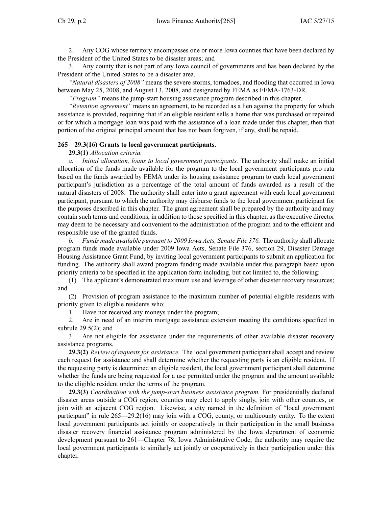2. Any COG whose territory encompasses one or more Iowa counties that have been declared by the President of the United States to be disaster areas; and

3. Any county that is not par<sup>t</sup> of any Iowa council of governments and has been declared by the President of the United States to be <sup>a</sup> disaster area.

*"Natural disasters of 2008"* means the severe storms, tornadoes, and flooding that occurred in Iowa between May 25, 2008, and August 13, 2008, and designated by FEMA as FEMA-1763-DR.

*"Program"* means the jump-start housing assistance program described in this chapter.

*"Retention agreement"* means an agreement, to be recorded as <sup>a</sup> lien against the property for which assistance is provided, requiring that if an eligible resident sells <sup>a</sup> home that was purchased or repaired or for which <sup>a</sup> mortgage loan was paid with the assistance of <sup>a</sup> loan made under this chapter, then that portion of the original principal amount that has not been forgiven, if any, shall be repaid.

## **265—29.3(16) Grants to local government participants.**

### **29.3(1)** *Allocation criteria.*

*a. Initial allocation, loans to local governmen<sup>t</sup> participants.* The authority shall make an initial allocation of the funds made available for the program to the local governmen<sup>t</sup> participants pro rata based on the funds awarded by FEMA under its housing assistance program to each local governmen<sup>t</sup> participant's jurisdiction as <sup>a</sup> percentage of the total amount of funds awarded as <sup>a</sup> result of the natural disasters of 2008. The authority shall enter into <sup>a</sup> gran<sup>t</sup> agreemen<sup>t</sup> with each local governmen<sup>t</sup> participant, pursuan<sup>t</sup> to which the authority may disburse funds to the local governmen<sup>t</sup> participant for the purposes described in this chapter. The gran<sup>t</sup> agreemen<sup>t</sup> shall be prepared by the authority and may contain such terms and conditions, in addition to those specified in this chapter, as the executive director may deem to be necessary and convenient to the administration of the program and to the efficient and responsible use of the granted funds.

*b. Funds made available pursuan<sup>t</sup> to 2009 Iowa Acts, Senate File 376.* The authority shall allocate program funds made available under 2009 Iowa Acts, Senate File 376, section 29, Disaster Damage Housing Assistance Grant Fund, by inviting local governmen<sup>t</sup> participants to submit an application for funding. The authority shall award program funding made available under this paragraph based upon priority criteria to be specified in the application form including, but not limited to, the following:

(1) The applicant's demonstrated maximum use and leverage of other disaster recovery resources; and

(2) Provision of program assistance to the maximum number of potential eligible residents with priority given to eligible residents who:

1. Have not received any moneys under the program;

2. Are in need of an interim mortgage assistance extension meeting the conditions specified in subrule  $29.5(2)$ ; and

3. Are not eligible for assistance under the requirements of other available disaster recovery assistance programs.

**29.3(2)** *Review of requests for assistance.* The local governmen<sup>t</sup> participant shall accep<sup>t</sup> and review each reques<sup>t</sup> for assistance and shall determine whether the requesting party is an eligible resident. If the requesting party is determined an eligible resident, the local governmen<sup>t</sup> participant shall determine whether the funds are being requested for <sup>a</sup> use permitted under the program and the amount available to the eligible resident under the terms of the program.

**29.3(3)** *Coordination with the jump-start business assistance program.* For presidentially declared disaster areas outside <sup>a</sup> COG region, counties may elect to apply singly, join with other counties, or join with an adjacent COG region. Likewise, <sup>a</sup> city named in the definition of "local governmen<sup>t</sup> participant" in rule 265—29.2(16) may join with <sup>a</sup> COG, county, or multicounty entity. To the extent local governmen<sup>t</sup> participants act jointly or cooperatively in their participation in the small business disaster recovery financial assistance program administered by the Iowa department of economic development pursuan<sup>t</sup> to 261―Chapter 78, Iowa Administrative Code, the authority may require the local government participants to similarly act jointly or cooperatively in their participation under this chapter.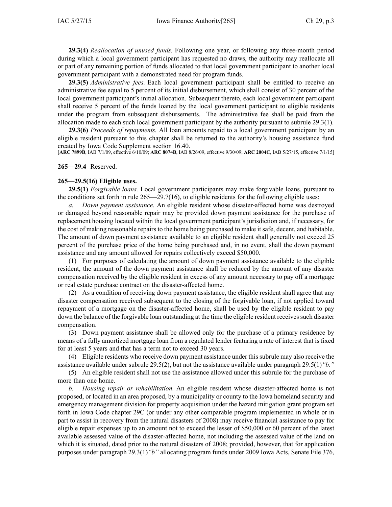**29.3(4)** *Reallocation of unused funds.* Following one year, or following any three-month period during which <sup>a</sup> local governmen<sup>t</sup> participant has requested no draws, the authority may reallocate all or par<sup>t</sup> of any remaining portion of funds allocated to that local governmen<sup>t</sup> participant to another local governmen<sup>t</sup> participant with <sup>a</sup> demonstrated need for program funds.

**29.3(5)** *Administrative fees.* Each local governmen<sup>t</sup> participant shall be entitled to receive an administrative fee equal to 5 percen<sup>t</sup> of its initial disbursement, which shall consist of 30 percen<sup>t</sup> of the local governmen<sup>t</sup> participant's initial allocation. Subsequent thereto, each local governmen<sup>t</sup> participant shall receive 5 percen<sup>t</sup> of the funds loaned by the local governmen<sup>t</sup> participant to eligible residents under the program from subsequent disbursements. The administrative fee shall be paid from the allocation made to each such local governmen<sup>t</sup> participant by the authority pursuan<sup>t</sup> to subrule 29.3(1).

**29.3(6)** *Proceeds of repayments.* All loan amounts repaid to <sup>a</sup> local governmen<sup>t</sup> participant by an eligible resident pursuan<sup>t</sup> to this chapter shall be returned to the authority's housing assistance fund created by Iowa Code Supplement section [16.40](https://www.legis.iowa.gov/docs/ico/section/16.40.pdf).

[**ARC 7899B**, IAB 7/1/09, effective 6/10/09; **ARC 8074B**, IAB 8/26/09, effective 9/30/09; **ARC 2004C**, IAB 5/27/15, effective 7/1/15]

### **265—29.4** Reserved.

#### **265—29.5(16) Eligible uses.**

**29.5(1)** *Forgivable loans.* Local governmen<sup>t</sup> participants may make forgivable loans, pursuan<sup>t</sup> to the conditions set forth in rule 265—29.7(16), to eligible residents for the following eligible uses:

*a. Down paymen<sup>t</sup> assistance.* An eligible resident whose disaster-affected home was destroyed or damaged beyond reasonable repair may be provided down paymen<sup>t</sup> assistance for the purchase of replacement housing located within the local governmen<sup>t</sup> participant's jurisdiction and, if necessary, for the cost of making reasonable repairs to the home being purchased to make it safe, decent, and habitable. The amount of down paymen<sup>t</sup> assistance available to an eligible resident shall generally not exceed 25 percen<sup>t</sup> of the purchase price of the home being purchased and, in no event, shall the down paymen<sup>t</sup> assistance and any amount allowed for repairs collectively exceed \$50,000.

(1) For purposes of calculating the amount of down paymen<sup>t</sup> assistance available to the eligible resident, the amount of the down paymen<sup>t</sup> assistance shall be reduced by the amount of any disaster compensation received by the eligible resident in excess of any amount necessary to pay off <sup>a</sup> mortgage or real estate purchase contract on the disaster-affected home.

(2) As <sup>a</sup> condition of receiving down paymen<sup>t</sup> assistance, the eligible resident shall agree that any disaster compensation received subsequent to the closing of the forgivable loan, if not applied toward repaymen<sup>t</sup> of <sup>a</sup> mortgage on the disaster-affected home, shall be used by the eligible resident to pay down the balance of the forgivable loan outstanding at the time the eligible resident receives such disaster compensation.

(3) Down paymen<sup>t</sup> assistance shall be allowed only for the purchase of <sup>a</sup> primary residence by means of <sup>a</sup> fully amortized mortgage loan from <sup>a</sup> regulated lender featuring <sup>a</sup> rate of interest that is fixed for at least 5 years and that has <sup>a</sup> term not to exceed 30 years.

(4) Eligible residents who receive down paymen<sup>t</sup> assistance under this subrule may also receive the assistance available under subrule 29.5(2), but not the assistance available under paragraph 29.5(1)*"b."*

(5) An eligible resident shall not use the assistance allowed under this subrule for the purchase of more than one home.

*b. Housing repair or rehabilitation.* An eligible resident whose disaster-affected home is not proposed, or located in an area proposed, by <sup>a</sup> municipality or county to the Iowa homeland security and emergency managemen<sup>t</sup> division for property acquisition under the hazard mitigation gran<sup>t</sup> program set forth in Iowa Code chapter [29C](https://www.legis.iowa.gov/docs/ico/chapter/29C.pdf) (or under any other comparable program implemented in whole or in par<sup>t</sup> to assist in recovery from the natural disasters of 2008) may receive financial assistance to pay for eligible repair expenses up to an amount not to exceed the lesser of \$50,000 or 60 percen<sup>t</sup> of the latest available assessed value of the disaster-affected home, not including the assessed value of the land on which it is situated, dated prior to the natural disasters of 2008; provided, however, that for application purposes under paragraph 29.3(1)*"b"* allocating program funds under 2009 Iowa Acts, Senate File 376,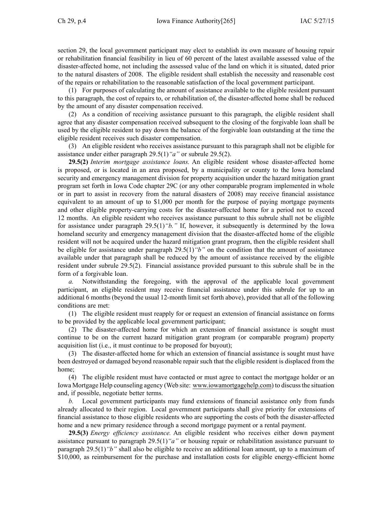section 29, the local governmen<sup>t</sup> participant may elect to establish its own measure of housing repair or rehabilitation financial feasibility in lieu of 60 percen<sup>t</sup> of the latest available assessed value of the disaster-affected home, not including the assessed value of the land on which it is situated, dated prior to the natural disasters of 2008. The eligible resident shall establish the necessity and reasonable cost of the repairs or rehabilitation to the reasonable satisfaction of the local governmen<sup>t</sup> participant.

(1) For purposes of calculating the amount of assistance available to the eligible resident pursuan<sup>t</sup> to this paragraph, the cost of repairs to, or rehabilitation of, the disaster-affected home shall be reduced by the amount of any disaster compensation received.

(2) As <sup>a</sup> condition of receiving assistance pursuan<sup>t</sup> to this paragraph, the eligible resident shall agree that any disaster compensation received subsequent to the closing of the forgivable loan shall be used by the eligible resident to pay down the balance of the forgivable loan outstanding at the time the eligible resident receives such disaster compensation.

(3) An eligible resident who receives assistance pursuan<sup>t</sup> to this paragraph shall not be eligible for assistance under either paragraph 29.5(1)*"a"* or subrule 29.5(2).

**29.5(2)** *Interim mortgage assistance loans.* An eligible resident whose disaster-affected home is proposed, or is located in an area proposed, by <sup>a</sup> municipality or county to the Iowa homeland security and emergency managemen<sup>t</sup> division for property acquisition under the hazard mitigation gran<sup>t</sup> program set forth in Iowa Code chapter [29C](https://www.legis.iowa.gov/docs/ico/chapter/29C.pdf) (or any other comparable program implemented in whole or in par<sup>t</sup> to assist in recovery from the natural disasters of 2008) may receive financial assistance equivalent to an amount of up to \$1,000 per month for the purpose of paying mortgage payments and other eligible property-carrying costs for the disaster-affected home for <sup>a</sup> period not to exceed 12 months. An eligible resident who receives assistance pursuan<sup>t</sup> to this subrule shall not be eligible for assistance under paragraph 29.5(1)*"b."* If, however, it subsequently is determined by the Iowa homeland security and emergency managemen<sup>t</sup> division that the disaster-affected home of the eligible resident will not be acquired under the hazard mitigation gran<sup>t</sup> program, then the eligible resident shall be eligible for assistance under paragraph 29.5(1)*"b"* on the condition that the amount of assistance available under that paragraph shall be reduced by the amount of assistance received by the eligible resident under subrule 29.5(2). Financial assistance provided pursuan<sup>t</sup> to this subrule shall be in the form of <sup>a</sup> forgivable loan.

*a.* Notwithstanding the foregoing, with the approval of the applicable local governmen<sup>t</sup> participant, an eligible resident may receive financial assistance under this subrule for up to an additional 6 months (beyond the usual 12-month limit set forth above), provided that all of the following conditions are met:

(1) The eligible resident must reapply for or reques<sup>t</sup> an extension of financial assistance on forms to be provided by the applicable local governmen<sup>t</sup> participant;

(2) The disaster-affected home for which an extension of financial assistance is sought must continue to be on the current hazard mitigation gran<sup>t</sup> program (or comparable program) property acquisition list (i.e., it must continue to be proposed for buyout);

(3) The disaster-affected home for which an extension of financial assistance is sought must have been destroyed or damaged beyond reasonable repair such that the eligible resident is displaced from the home;

(4) The eligible resident must have contacted or must agree to contact the mortgage holder or an Iowa Mortgage Help counseling agency (Web site: www.iowamortgagehelp.com) to discussthe situation and, if possible, negotiate better terms.

*b.* Local governmen<sup>t</sup> participants may fund extensions of financial assistance only from funds already allocated to their region. Local governmen<sup>t</sup> participants shall give priority for extensions of financial assistance to those eligible residents who are supporting the costs of both the disaster-affected home and a new primary residence through a second mortgage payment or a rental payment.

**29.5(3)** *Energy efficiency assistance.* An eligible resident who receives either down paymen<sup>t</sup> assistance pursuan<sup>t</sup> to paragraph 29.5(1)*"a"* or housing repair or rehabilitation assistance pursuan<sup>t</sup> to paragraph 29.5(1)*"b"* shall also be eligible to receive an additional loan amount, up to <sup>a</sup> maximum of \$10,000, as reimbursement for the purchase and installation costs for eligible energy-efficient home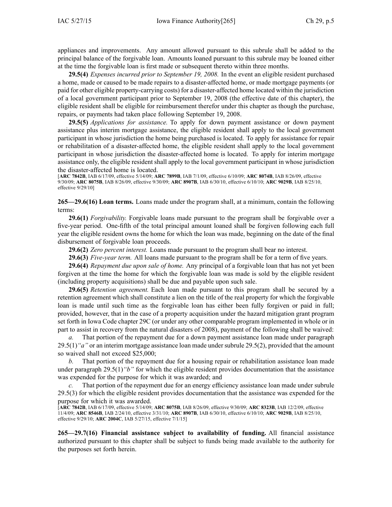appliances and improvements. Any amount allowed pursuan<sup>t</sup> to this subrule shall be added to the principal balance of the forgivable loan. Amounts loaned pursuan<sup>t</sup> to this subrule may be loaned either at the time the forgivable loan is first made or subsequent thereto within three months.

**29.5(4)** *Expenses incurred prior to September 19, 2008.* In the event an eligible resident purchased <sup>a</sup> home, made or caused to be made repairs to <sup>a</sup> disaster-affected home, or made mortgage payments (or paid for other eligible property-carrying costs) for <sup>a</sup> disaster-affected home located within the jurisdiction of <sup>a</sup> local governmen<sup>t</sup> participant prior to September 19, 2008 (the effective date of this chapter), the eligible resident shall be eligible for reimbursement therefor under this chapter as though the purchase, repairs, or payments had taken place following September 19, 2008.

**29.5(5)** *Applications for assistance.* To apply for down paymen<sup>t</sup> assistance or down paymen<sup>t</sup> assistance plus interim mortgage assistance, the eligible resident shall apply to the local governmen<sup>t</sup> participant in whose jurisdiction the home being purchased is located. To apply for assistance for repair or rehabilitation of <sup>a</sup> disaster-affected home, the eligible resident shall apply to the local governmen<sup>t</sup> participant in whose jurisdiction the disaster-affected home is located. To apply for interim mortgage assistance only, the eligible resident shall apply to the local governmen<sup>t</sup> participant in whose jurisdiction the disaster-affected home is located.

[**ARC 7842B**, IAB 6/17/09, effective 5/14/09; **ARC 7899B**, IAB 7/1/09, effective 6/10/09; **ARC 8074B**, IAB 8/26/09, effective 9/30/09; **ARC 8075B**, IAB 8/26/09, effective 9/30/09; **ARC 8907B**, IAB 6/30/10, effective 6/10/10; **ARC 9029B**, IAB 8/25/10, effective 9/29/10]

**265—29.6(16) Loan terms.** Loans made under the program shall, at <sup>a</sup> minimum, contain the following terms:

**29.6(1)** *Forgivability.* Forgivable loans made pursuan<sup>t</sup> to the program shall be forgivable over <sup>a</sup> five-year period. One-fifth of the total principal amount loaned shall be forgiven following each full year the eligible resident owns the home for which the loan was made, beginning on the date of the final disbursement of forgivable loan proceeds.

**29.6(2)** *Zero percen<sup>t</sup> interest.* Loans made pursuan<sup>t</sup> to the program shall bear no interest.

**29.6(3)** *Five-year term.* All loans made pursuan<sup>t</sup> to the program shall be for <sup>a</sup> term of five years.

**29.6(4)** *Repayment due upon sale of home.* Any principal of <sup>a</sup> forgivable loan that has not ye<sup>t</sup> been forgiven at the time the home for which the forgivable loan was made is sold by the eligible resident (including property acquisitions) shall be due and payable upon such sale.

**29.6(5)** *Retention agreement.* Each loan made pursuan<sup>t</sup> to this program shall be secured by <sup>a</sup> retention agreemen<sup>t</sup> which shall constitute <sup>a</sup> lien on the title of the real property for which the forgivable loan is made until such time as the forgivable loan has either been fully forgiven or paid in full; provided, however, that in the case of <sup>a</sup> property acquisition under the hazard mitigation gran<sup>t</sup> program set forth in Iowa Code chapter [29C](https://www.legis.iowa.gov/docs/ico/chapter/29C.pdf) (or under any other comparable program implemented in whole or in par<sup>t</sup> to assist in recovery from the natural disasters of 2008), paymen<sup>t</sup> of the following shall be waived:

*a.* That portion of the repaymen<sup>t</sup> due for <sup>a</sup> down paymen<sup>t</sup> assistance loan made under paragraph 29.5(1) "a" or an interim mortgage assistance loan made under subrule 29.5(2), provided that the amount so waived shall not exceed \$25,000;

*b.* That portion of the repaymen<sup>t</sup> due for <sup>a</sup> housing repair or rehabilitation assistance loan made under paragraph 29.5(1)*"b"* for which the eligible resident provides documentation that the assistance was expended for the purpose for which it was awarded; and

*c.* That portion of the repaymen<sup>t</sup> due for an energy efficiency assistance loan made under subrule 29.5(3) for which the eligible resident provides documentation that the assistance was expended for the purpose for which it was awarded.

[**ARC 7842B**, IAB 6/17/09, effective 5/14/09; **ARC 8075B**, IAB 8/26/09, effective 9/30/09; **ARC 8323B**, IAB 12/2/09, effective 11/4/09; **ARC 8546B**, IAB 2/24/10, effective 3/31/10; **ARC 8907B**, IAB 6/30/10, effective 6/10/10; **ARC 9029B**, IAB 8/25/10, effective 9/29/10; **ARC 2004C**, IAB 5/27/15, effective 7/1/15]

**265—29.7(16) Financial assistance subject to availability of funding.** All financial assistance authorized pursuan<sup>t</sup> to this chapter shall be subject to funds being made available to the authority for the purposes set forth herein.